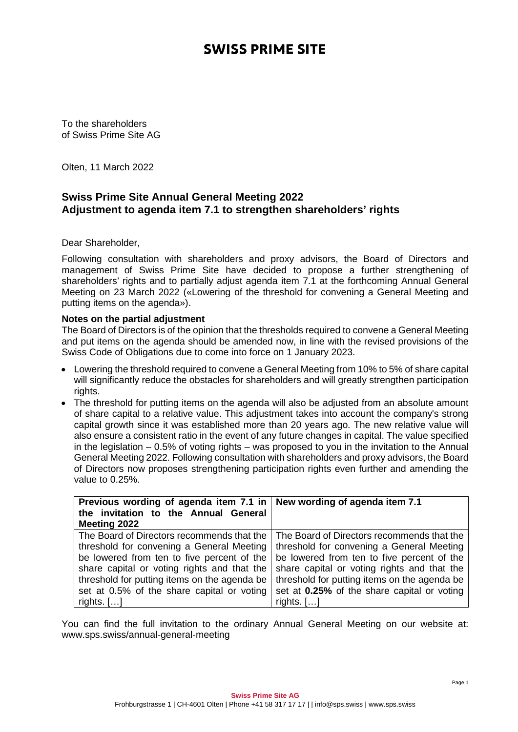## **SWISS PRIME SITE**

To the shareholders of Swiss Prime Site AG

Olten, 11 March 2022

## **Swiss Prime Site Annual General Meeting 2022 Adjustment to agenda item 7.1 to strengthen shareholders' rights**

Dear Shareholder,

Following consultation with shareholders and proxy advisors, the Board of Directors and management of Swiss Prime Site have decided to propose a further strengthening of shareholders' rights and to partially adjust agenda item 7.1 at the forthcoming Annual General Meeting on 23 March 2022 («Lowering of the threshold for convening a General Meeting and putting items on the agenda»).

## **Notes on the partial adjustment**

The Board of Directors is of the opinion that the thresholds required to convene a General Meeting and put items on the agenda should be amended now, in line with the revised provisions of the Swiss Code of Obligations due to come into force on 1 January 2023.

- Lowering the threshold required to convene a General Meeting from 10% to 5% of share capital will significantly reduce the obstacles for shareholders and will greatly strengthen participation rights.
- The threshold for putting items on the agenda will also be adjusted from an absolute amount of share capital to a relative value. This adjustment takes into account the company's strong capital growth since it was established more than 20 years ago. The new relative value will also ensure a consistent ratio in the event of any future changes in capital. The value specified in the legislation – 0.5% of voting rights – was proposed to you in the invitation to the Annual General Meeting 2022. Following consultation with shareholders and proxy advisors, the Board of Directors now proposes strengthening participation rights even further and amending the value to 0.25%.

| Previous wording of agenda item 7.1 in       | New wording of agenda item 7.1               |
|----------------------------------------------|----------------------------------------------|
| the invitation to the Annual General         |                                              |
| Meeting 2022                                 |                                              |
| The Board of Directors recommends that the   | The Board of Directors recommends that the   |
| threshold for convening a General Meeting    | threshold for convening a General Meeting    |
| be lowered from ten to five percent of the   | be lowered from ten to five percent of the   |
| share capital or voting rights and that the  | share capital or voting rights and that the  |
| threshold for putting items on the agenda be | threshold for putting items on the agenda be |
| set at 0.5% of the share capital or voting   | set at 0.25% of the share capital or voting  |
| rights. $[]$                                 | rights. $[]$                                 |

You can find the full invitation to the ordinary Annual General Meeting on our website at: www.sps.swiss/annual-general-meeting